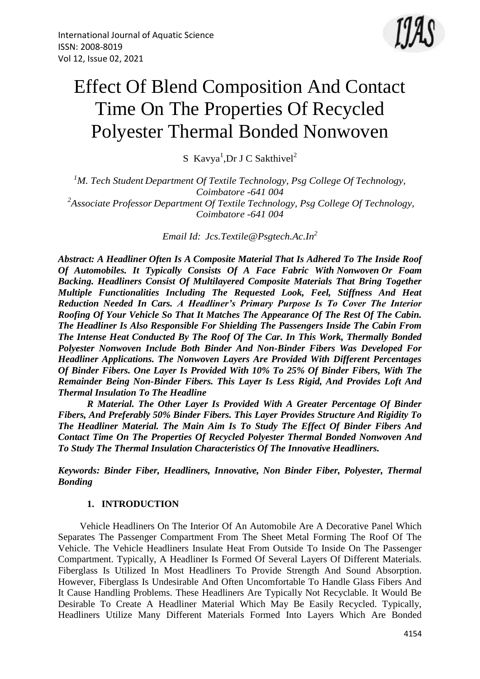

# Effect Of Blend Composition And Contact Time On The Properties Of Recycled Polyester Thermal Bonded Nonwoven

S Kavya<sup>1</sup>, Dr J C Sakthivel<sup>2</sup>

*<sup>1</sup>M. Tech Student Department Of Textile Technology, Psg College Of Technology, Coimbatore -641 004 2 Associate Professor Department Of Textile Technology, Psg College Of Technology, Coimbatore -641 004*

*Email Id: [Jcs.Textile@Psgtech.Ac.In](mailto:jcs.textile@psgtech.ac.in)<sup>2</sup>*

*Abstract: A Headliner Often Is A Composite Material That Is Adhered To The Inside Roof Of Automobiles. It Typically Consists Of A Face Fabric With Nonwoven Or Foam Backing. Headliners Consist Of Multilayered Composite Materials That Bring Together Multiple Functionalities Including The Requested Look, Feel, Stiffness And Heat Reduction Needed In Cars. A Headliner's Primary Purpose Is To Cover The Interior Roofing Of Your Vehicle So That It Matches The Appearance Of The Rest Of The Cabin. The Headliner Is Also Responsible For Shielding The Passengers Inside The Cabin From The Intense Heat Conducted By The Roof Of The Car. In This Work, Thermally Bonded Polyester Nonwoven Include Both Binder And Non-Binder Fibers Was Developed For Headliner Applications. The Nonwoven Layers Are Provided With Different Percentages Of Binder Fibers. One Layer Is Provided With 10% To 25% Of Binder Fibers, With The Remainder Being Non-Binder Fibers. This Layer Is Less Rigid, And Provides Loft And Thermal Insulation To The Headline*

*R Material. The Other Layer Is Provided With A Greater Percentage Of Binder Fibers, And Preferably 50% Binder Fibers. This Layer Provides Structure And Rigidity To The Headliner Material. The Main Aim Is To Study The Effect Of Binder Fibers And Contact Time On The Properties Of Recycled Polyester Thermal Bonded Nonwoven And To Study The Thermal Insulation Characteristics Of The Innovative Headliners.*

*Keywords: Binder Fiber, Headliners, Innovative, Non Binder Fiber, Polyester, Thermal Bonding*

# **1. INTRODUCTION**

Vehicle Headliners On The Interior Of An Automobile Are A Decorative Panel Which Separates The Passenger Compartment From The Sheet Metal Forming The Roof Of The Vehicle. The Vehicle Headliners Insulate Heat From Outside To Inside On The Passenger Compartment. Typically, A Headliner Is Formed Of Several Layers Of Different Materials. Fiberglass Is Utilized In Most Headliners To Provide Strength And Sound Absorption. However, Fiberglass Is Undesirable And Often Uncomfortable To Handle Glass Fibers And It Cause Handling Problems. These Headliners Are Typically Not Recyclable. It Would Be Desirable To Create A Headliner Material Which May Be Easily Recycled. Typically, Headliners Utilize Many Different Materials Formed Into Layers Which Are Bonded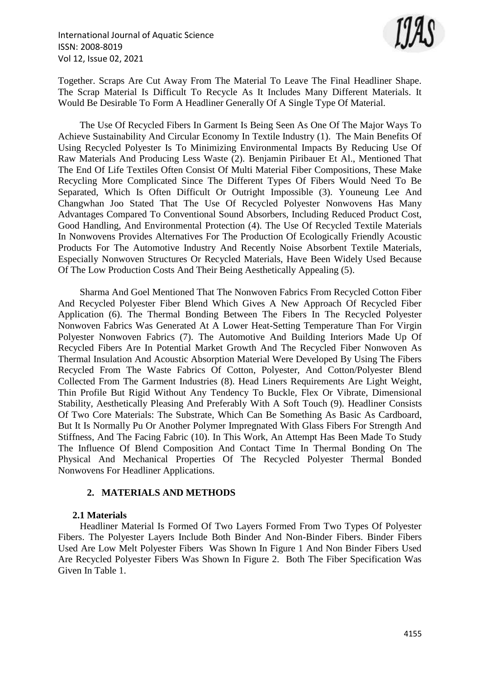

Together. Scraps Are Cut Away From The Material To Leave The Final Headliner Shape. The Scrap Material Is Difficult To Recycle As It Includes Many Different Materials. It Would Be Desirable To Form A Headliner Generally Of A Single Type Of Material.

The Use Of Recycled Fibers In Garment Is Being Seen As One Of The Major Ways To Achieve Sustainability And Circular Economy In Textile Industry (1). The Main Benefits Of Using Recycled Polyester Is To Minimizing Environmental Impacts By Reducing Use Of Raw Materials And Producing Less Waste (2). Benjamin Piribauer Et Al., Mentioned That The End Of Life Textiles Often Consist Of Multi Material Fiber Compositions, These Make Recycling More Complicated Since The Different Types Of Fibers Would Need To Be Separated, Which Is Often Difficult Or Outright Impossible (3). Youneung Lee And Changwhan Joo Stated That The Use Of Recycled Polyester Nonwovens Has Many Advantages Compared To Conventional Sound Absorbers, Including Reduced Product Cost, Good Handling, And Environmental Protection (4). The Use Of Recycled Textile Materials In Nonwovens Provides Alternatives For The Production Of Ecologically Friendly Acoustic Products For The Automotive Industry And Recently Noise Absorbent Textile Materials, Especially Nonwoven Structures Or Recycled Materials, Have Been Widely Used Because Of The Low Production Costs And Their Being Aesthetically Appealing (5).

Sharma And Goel Mentioned That The Nonwoven Fabrics From Recycled Cotton Fiber And Recycled Polyester Fiber Blend Which Gives A New Approach Of Recycled Fiber Application (6). The Thermal Bonding Between The Fibers In The Recycled Polyester Nonwoven Fabrics Was Generated At A Lower Heat-Setting Temperature Than For Virgin Polyester Nonwoven Fabrics (7). The Automotive And Building Interiors Made Up Of Recycled Fibers Are In Potential Market Growth And The Recycled Fiber Nonwoven As Thermal Insulation And Acoustic Absorption Material Were Developed By Using The Fibers Recycled From The Waste Fabrics Of Cotton, Polyester, And Cotton/Polyester Blend Collected From The Garment Industries (8). Head Liners Requirements Are Light Weight, Thin Profile But Rigid Without Any Tendency To Buckle, Flex Or Vibrate, Dimensional Stability, Aesthetically Pleasing And Preferably With A Soft Touch (9). Headliner Consists Of Two Core Materials: The Substrate, Which Can Be Something As Basic As Cardboard, But It Is Normally Pu Or Another Polymer Impregnated With Glass Fibers For Strength And Stiffness, And The Facing Fabric (10). In This Work, An Attempt Has Been Made To Study The Influence Of Blend Composition And Contact Time In Thermal Bonding On The Physical And Mechanical Properties Of The Recycled Polyester Thermal Bonded Nonwovens For Headliner Applications.

# **2. MATERIALS AND METHODS**

## **2.1 Materials**

Headliner Material Is Formed Of Two Layers Formed From Two Types Of Polyester Fibers. The Polyester Layers Include Both Binder And Non-Binder Fibers. Binder Fibers Used Are Low Melt Polyester Fibers Was Shown In Figure 1 And Non Binder Fibers Used Are Recycled Polyester Fibers Was Shown In Figure 2. Both The Fiber Specification Was Given In Table 1.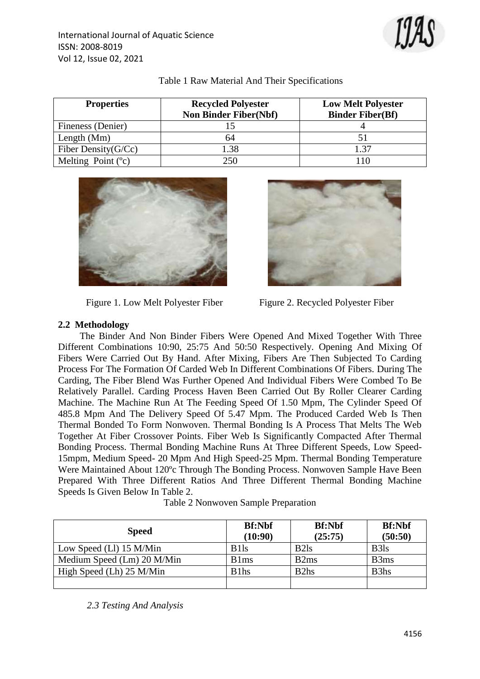

| <b>Properties</b>      | <b>Recycled Polyester</b><br><b>Non Binder Fiber(Nbf)</b> | <b>Low Melt Polyester</b><br><b>Binder Fiber(Bf)</b> |
|------------------------|-----------------------------------------------------------|------------------------------------------------------|
| Fineness (Denier)      |                                                           |                                                      |
| Length $(Mm)$          | 64                                                        |                                                      |
| Fiber Density $(G/Cc)$ | .38                                                       | .37                                                  |
| Melting Point $(°c)$   | 250.                                                      | 10                                                   |

#### Table 1 Raw Material And Their Specifications



Figure 1. Low Melt Polyester Fiber Figure 2. Recycled Polyester Fiber



# **2.2 Methodology**

The Binder And Non Binder Fibers Were Opened And Mixed Together With Three Different Combinations 10:90, 25:75 And 50:50 Respectively. Opening And Mixing Of Fibers Were Carried Out By Hand. After Mixing, Fibers Are Then Subjected To Carding Process For The Formation Of Carded Web In Different Combinations Of Fibers. During The Carding, The Fiber Blend Was Further Opened And Individual Fibers Were Combed To Be Relatively Parallel. Carding Process Haven Been Carried Out By Roller Clearer Carding Machine. The Machine Run At The Feeding Speed Of 1.50 Mpm, The Cylinder Speed Of 485.8 Mpm And The Delivery Speed Of 5.47 Mpm. The Produced Carded Web Is Then Thermal Bonded To Form Nonwoven. Thermal Bonding Is A Process That Melts The Web Together At Fiber Crossover Points. Fiber Web Is Significantly Compacted After Thermal Bonding Process. Thermal Bonding Machine Runs At Three Different Speeds, Low Speed-15mpm, Medium Speed- 20 Mpm And High Speed-25 Mpm. Thermal Bonding Temperature Were Maintained About 120ºc Through The Bonding Process. Nonwoven Sample Have Been Prepared With Three Different Ratios And Three Different Thermal Bonding Machine Speeds Is Given Below In Table 2.

| Table 2 Nonwoven Sample Preparation |  |  |
|-------------------------------------|--|--|
|-------------------------------------|--|--|

| <b>Speed</b>               | <b>Bf:Nbf</b><br>(10:90)      | <b>Bf:Nbf</b><br>(25:75)      | <b>Bf:Nbf</b><br>(50:50)      |
|----------------------------|-------------------------------|-------------------------------|-------------------------------|
| Low Speed (Ll) 15 M/Min    | B <sub>1</sub> S <sub>1</sub> | B <sub>2</sub> l <sub>s</sub> | B <sub>3</sub> l <sub>s</sub> |
| Medium Speed (Lm) 20 M/Min | B <sub>1</sub> m <sub>s</sub> | B <sub>2</sub> ms             | B3ms                          |
| High Speed (Lh) 25 M/Min   | B <sub>1</sub> h <sub>s</sub> | B <sub>2</sub> h <sub>s</sub> | B <sub>3</sub> h <sub>s</sub> |
|                            |                               |                               |                               |

*2.3 Testing And Analysis*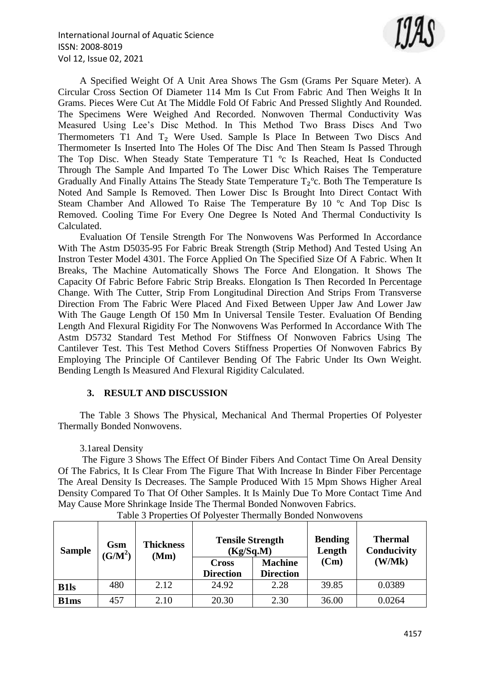

A Specified Weight Of A Unit Area Shows The Gsm (Grams Per Square Meter). A Circular Cross Section Of Diameter 114 Mm Is Cut From Fabric And Then Weighs It In Grams. Pieces Were Cut At The Middle Fold Of Fabric And Pressed Slightly And Rounded. The Specimens Were Weighed And Recorded. Nonwoven Thermal Conductivity Was Measured Using Lee's Disc Method. In This Method Two Brass Discs And Two Thermometers T1 And T<sub>2</sub> Were Used. Sample Is Place In Between Two Discs And Thermometer Is Inserted Into The Holes Of The Disc And Then Steam Is Passed Through The Top Disc. When Steady State Temperature T1 ºc Is Reached, Heat Is Conducted Through The Sample And Imparted To The Lower Disc Which Raises The Temperature Gradually And Finally Attains The Steady State Temperature  $T_2^{\circ}$ c. Both The Temperature Is Noted And Sample Is Removed. Then Lower Disc Is Brought Into Direct Contact With Steam Chamber And Allowed To Raise The Temperature By 10 ºc And Top Disc Is Removed. Cooling Time For Every One Degree Is Noted And Thermal Conductivity Is Calculated.

Evaluation Of Tensile Strength For The Nonwovens Was Performed In Accordance With The Astm D5035-95 For Fabric Break Strength (Strip Method) And Tested Using An Instron Tester Model 4301. The Force Applied On The Specified Size Of A Fabric. When It Breaks, The Machine Automatically Shows The Force And Elongation. It Shows The Capacity Of Fabric Before Fabric Strip Breaks. Elongation Is Then Recorded In Percentage Change. With The Cutter, Strip From Longitudinal Direction And Strips From Transverse Direction From The Fabric Were Placed And Fixed Between Upper Jaw And Lower Jaw With The Gauge Length Of 150 Mm In Universal Tensile Tester. Evaluation Of Bending Length And Flexural Rigidity For The Nonwovens Was Performed In Accordance With The Astm D5732 Standard Test Method For Stiffness Of Nonwoven Fabrics Using The Cantilever Test. This Test Method Covers Stiffness Properties Of Nonwoven Fabrics By Employing The Principle Of Cantilever Bending Of The Fabric Under Its Own Weight. Bending Length Is Measured And Flexural Rigidity Calculated.

## **3. RESULT AND DISCUSSION**

The Table 3 Shows The Physical, Mechanical And Thermal Properties Of Polyester Thermally Bonded Nonwovens.

## 3.1areal Density

The Figure 3 Shows The Effect Of Binder Fibers And Contact Time On Areal Density Of The Fabrics, It Is Clear From The Figure That With Increase In Binder Fiber Percentage The Areal Density Is Decreases. The Sample Produced With 15 Mpm Shows Higher Areal Density Compared To That Of Other Samples. It Is Mainly Due To More Contact Time And May Cause More Shrinkage Inside The Thermal Bonded Nonwoven Fabrics.

| <b>Sample</b> | Gsm<br>$(\overline{G/M}^2)$ | <b>Thickness</b><br>(Mm) | <b>Tensile Strength</b><br>(Kg/Sq.M) |                  | <b>Bending</b><br>Length | <b>Thermal</b><br>Conducivity |
|---------------|-----------------------------|--------------------------|--------------------------------------|------------------|--------------------------|-------------------------------|
|               |                             |                          | <b>Cross</b>                         | <b>Machine</b>   | (Cm)                     | (W/Mk)                        |
|               |                             |                          | <b>Direction</b>                     | <b>Direction</b> |                          |                               |
| <b>B1ls</b>   | 480                         | 2.12                     | 24.92                                | 2.28             | 39.85                    | 0.0389                        |
| <b>B1ms</b>   | 457                         | 2.10                     | 20.30                                | 2.30             | 36.00                    | 0.0264                        |

Table 3 Properties Of Polyester Thermally Bonded Nonwovens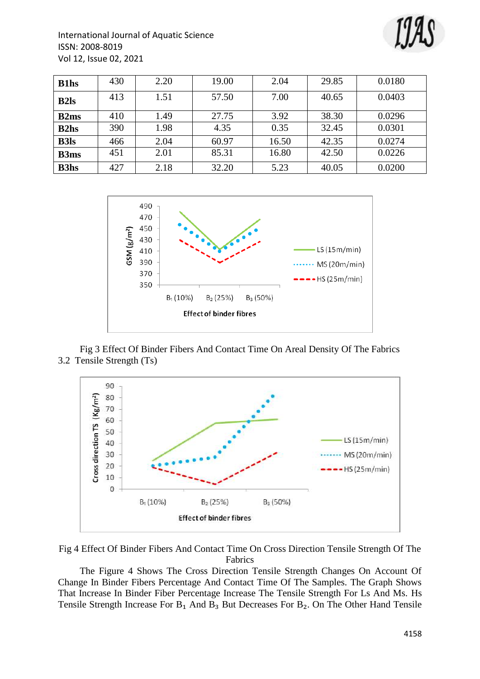

| <b>B1hs</b> | 430 | 2.20 | 19.00 | 2.04  | 29.85 | 0.0180 |
|-------------|-----|------|-------|-------|-------|--------|
| <b>B2ls</b> | 413 | 1.51 | 57.50 | 7.00  | 40.65 | 0.0403 |
| <b>B2ms</b> | 410 | 1.49 | 27.75 | 3.92  | 38.30 | 0.0296 |
| <b>B2hs</b> | 390 | 1.98 | 4.35  | 0.35  | 32.45 | 0.0301 |
| <b>B3ls</b> | 466 | 2.04 | 60.97 | 16.50 | 42.35 | 0.0274 |
| <b>B3ms</b> | 451 | 2.01 | 85.31 | 16.80 | 42.50 | 0.0226 |
| <b>B3hs</b> | 427 | 2.18 | 32.20 | 5.23  | 40.05 | 0.0200 |



Fig 3 Effect Of Binder Fibers And Contact Time On Areal Density Of The Fabrics 3.2 Tensile Strength (Ts)



Fig 4 Effect Of Binder Fibers And Contact Time On Cross Direction Tensile Strength Of The Fabrics

The Figure 4 Shows The Cross Direction Tensile Strength Changes On Account Of Change In Binder Fibers Percentage And Contact Time Of The Samples. The Graph Shows That Increase In Binder Fiber Percentage Increase The Tensile Strength For Ls And Ms. Hs Tensile Strength Increase For  $B_1$  And  $B_3$  But Decreases For  $B_2$ . On The Other Hand Tensile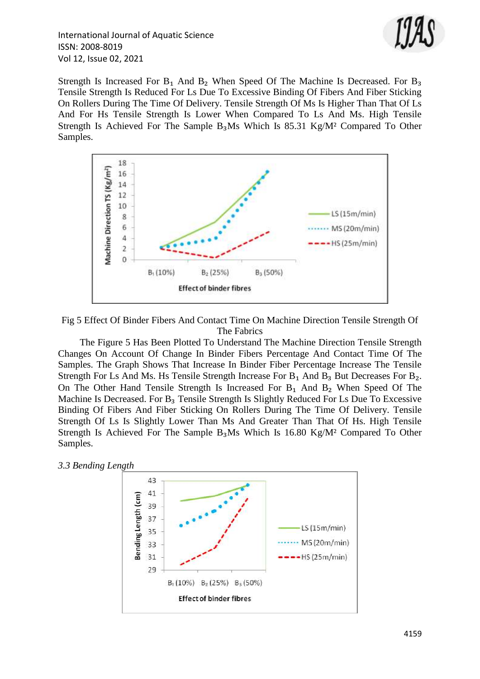

International Journal of Aquatic Science ISSN: 2008-8019 Vol 12, Issue 02, 2021

Strength Is Increased For  $B_1$  And  $B_2$  When Speed Of The Machine Is Decreased. For  $B_3$ Tensile Strength Is Reduced For Ls Due To Excessive Binding Of Fibers And Fiber Sticking On Rollers During The Time Of Delivery. Tensile Strength Of Ms Is Higher Than That Of Ls And For Hs Tensile Strength Is Lower When Compared To Ls And Ms. High Tensile Strength Is Achieved For The Sample  $B_3Ms$  Which Is 85.31 Kg/M<sup>2</sup> Compared To Other Samples.



Fig 5 Effect Of Binder Fibers And Contact Time On Machine Direction Tensile Strength Of The Fabrics

The Figure 5 Has Been Plotted To Understand The Machine Direction Tensile Strength Changes On Account Of Change In Binder Fibers Percentage And Contact Time Of The Samples. The Graph Shows That Increase In Binder Fiber Percentage Increase The Tensile Strength For Ls And Ms. Hs Tensile Strength Increase For  $B_1$  And  $B_3$  But Decreases For  $B_2$ . On The Other Hand Tensile Strength Is Increased For B₁ And B₂ When Speed Of The Machine Is Decreased. For  $B_3$  Tensile Strength Is Slightly Reduced For Ls Due To Excessive Binding Of Fibers And Fiber Sticking On Rollers During The Time Of Delivery. Tensile Strength Of Ls Is Slightly Lower Than Ms And Greater Than That Of Hs. High Tensile Strength Is Achieved For The Sample  $B_3Ms$  Which Is 16.80 Kg/M<sup>2</sup> Compared To Other Samples.



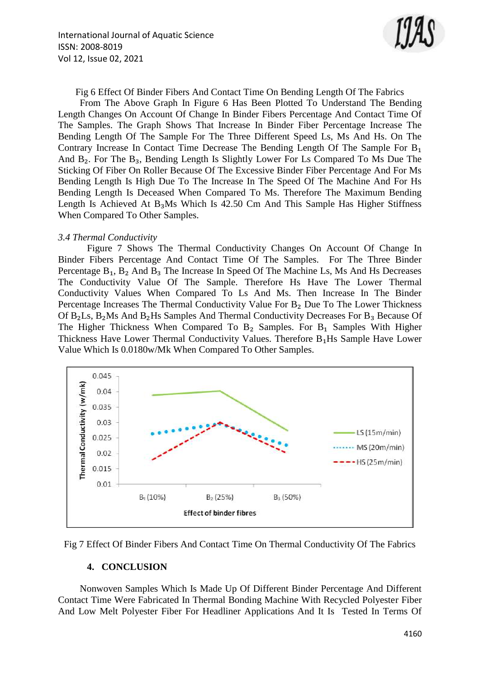

Fig 6 Effect Of Binder Fibers And Contact Time On Bending Length Of The Fabrics

From The Above Graph In Figure 6 Has Been Plotted To Understand The Bending Length Changes On Account Of Change In Binder Fibers Percentage And Contact Time Of The Samples. The Graph Shows That Increase In Binder Fiber Percentage Increase The Bending Length Of The Sample For The Three Different Speed Ls, Ms And Hs. On The Contrary Increase In Contact Time Decrease The Bending Length Of The Sample For B₁ And B<sub>2</sub>. For The B<sub>3</sub>, Bending Length Is Slightly Lower For Ls Compared To Ms Due The Sticking Of Fiber On Roller Because Of The Excessive Binder Fiber Percentage And For Ms Bending Length Is High Due To The Increase In The Speed Of The Machine And For Hs Bending Length Is Deceased When Compared To Ms. Therefore The Maximum Bending Length Is Achieved At  $B_3Ms$  Which Is 42.50 Cm And This Sample Has Higher Stiffness When Compared To Other Samples.

#### *3.4 Thermal Conductivity*

Figure 7 Shows The Thermal Conductivity Changes On Account Of Change In Binder Fibers Percentage And Contact Time Of The Samples. For The Three Binder Percentage  $B_1$ ,  $B_2$  And  $B_3$  The Increase In Speed Of The Machine Ls, Ms And Hs Decreases The Conductivity Value Of The Sample. Therefore Hs Have The Lower Thermal Conductivity Values When Compared To Ls And Ms. Then Increase In The Binder Percentage Increases The Thermal Conductivity Value For B<sub>2</sub> Due To The Lower Thickness Of  $B_2Ls$ ,  $B_2Ms$  And  $B_2Hs$  Samples And Thermal Conductivity Decreases For  $B_3$  Because Of The Higher Thickness When Compared To  $B_2$  Samples. For  $B_1$  Samples With Higher Thickness Have Lower Thermal Conductivity Values. Therefore B₁Hs Sample Have Lower Value Which Is 0.0180w/Mk When Compared To Other Samples.



Fig 7 Effect Of Binder Fibers And Contact Time On Thermal Conductivity Of The Fabrics

#### **4. CONCLUSION**

Nonwoven Samples Which Is Made Up Of Different Binder Percentage And Different Contact Time Were Fabricated In Thermal Bonding Machine With Recycled Polyester Fiber And Low Melt Polyester Fiber For Headliner Applications And It Is Tested In Terms Of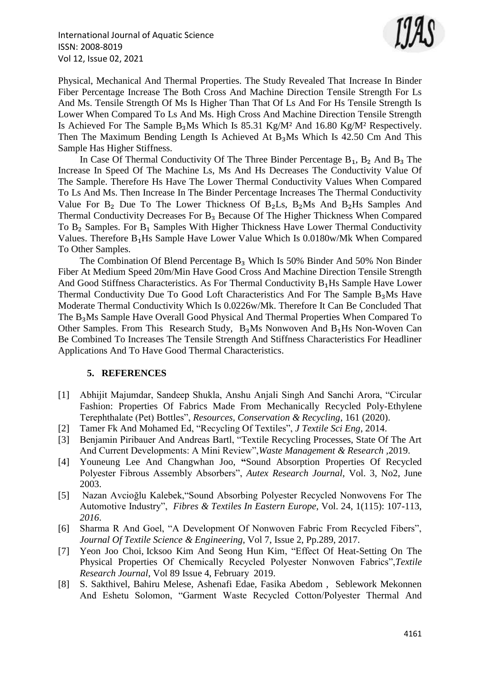International Journal of Aquatic Science ISSN: 2008-8019 Vol 12, Issue 02, 2021



Physical, Mechanical And Thermal Properties. The Study Revealed That Increase In Binder Fiber Percentage Increase The Both Cross And Machine Direction Tensile Strength For Ls And Ms. Tensile Strength Of Ms Is Higher Than That Of Ls And For Hs Tensile Strength Is Lower When Compared To Ls And Ms. High Cross And Machine Direction Tensile Strength Is Achieved For The Sample B₃Ms Which Is 85.31 Kg/M² And 16.80 Kg/M² Respectively. Then The Maximum Bending Length Is Achieved At B₃Ms Which Is 42.50 Cm And This Sample Has Higher Stiffness.

In Case Of Thermal Conductivity Of The Three Binder Percentage  $B_1$ ,  $B_2$  And  $B_3$  The Increase In Speed Of The Machine Ls, Ms And Hs Decreases The Conductivity Value Of The Sample. Therefore Hs Have The Lower Thermal Conductivity Values When Compared To Ls And Ms. Then Increase In The Binder Percentage Increases The Thermal Conductivity Value For  $B_2$  Due To The Lower Thickness Of  $B_2$ Ls,  $B_2$ Ms And  $B_2$ Hs Samples And Thermal Conductivity Decreases For B<sub>3</sub> Because Of The Higher Thickness When Compared To B<sub>2</sub> Samples. For B<sub>1</sub> Samples With Higher Thickness Have Lower Thermal Conductivity Values. Therefore B₁Hs Sample Have Lower Value Which Is 0.0180w/Mk When Compared To Other Samples.

The Combination Of Blend Percentage  $B_3$  Which Is 50% Binder And 50% Non Binder Fiber At Medium Speed 20m/Min Have Good Cross And Machine Direction Tensile Strength And Good Stiffness Characteristics. As For Thermal Conductivity B<sub>1</sub>Hs Sample Have Lower Thermal Conductivity Due To Good Loft Characteristics And For The Sample B₃Ms Have Moderate Thermal Conductivity Which Is 0.0226w/Mk. Therefore It Can Be Concluded That The B₃Ms Sample Have Overall Good Physical And Thermal Properties When Compared To Other Samples. From This Research Study,  $B_3Ms$  Nonwoven And  $B_1Hs$  Non-Woven Can Be Combined To Increases The Tensile Strength And Stiffness Characteristics For Headliner Applications And To Have Good Thermal Characteristics.

#### **5. REFERENCES**

- [1] Abhijit Majumdar, Sandeep Shukla, Anshu Anjali Singh And Sanchi Arora, "Circular Fashion: Properties Of Fabrics Made From Mechanically Recycled Poly-Ethylene Terephthalate (Pet) Bottles", *Resources, Conservation & Recycling*, 161 (2020).
- [2] Tamer Fk And Mohamed Ed, "Recycling Of Textiles", *J Textile Sci Eng*, 2014.
- [3] Benjamin Piribauer And Andreas Bartl, "Textile Recycling Processes, State Of The Art And Current Developments: A Mini Review",*Waste Management & Research ,*2019.
- [4] Youneung Lee And Changwhan Joo, **"**Sound Absorption Properties Of Recycled Polyester Fibrous Assembly Absorbers", *Autex Research Journal*, Vol. 3, No2, June 2003.
- [5] Nazan Avcioğlu Kalebek,"Sound Absorbing Polyester Recycled Nonwovens For The Automotive Industry", *Fibres & Textiles In Eastern Europe*, Vol. 24, 1(115): 107-113, *2016*.
- [6] Sharma R And Goel, "A Development Of Nonwoven Fabric From Recycled Fibers", *Journal Of Textile Science & Engineering*, Vol 7, Issue 2, Pp.289, 2017.
- [7] [Yeon Joo Choi,](https://journals.sagepub.com/doi/abs/10.1177/0040517517750643) [Icksoo Kim](https://journals.sagepub.com/doi/abs/10.1177/0040517517750643) And [Seong Hun Kim,](https://journals.sagepub.com/doi/abs/10.1177/0040517517750643) "Effect Of Heat-Setting On The Physical Properties Of Chemically Recycled Polyester Nonwoven Fabrics",*Textile Research Journal*, Vol 89 Issue 4, February 2019.
- [8] S. Sakthivel, Bahiru Melese, Ashenafi Edae, Fasika Abedom , Seblework Mekonnen And Eshetu Solomon, "Garment Waste Recycled Cotton/Polyester Thermal And